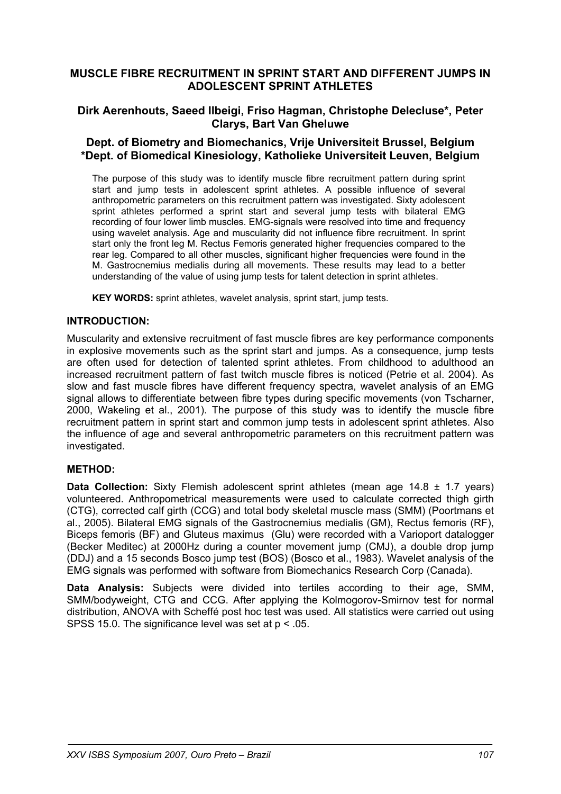# **MUSCLE FIBRE RECRUITMENT IN SPRINT START AND DIFFERENT JUMPS IN ADOLESCENT SPRINT ATHLETES**

# **Dirk Aerenhouts, Saeed Ilbeigi, Friso Hagman, Christophe Delecluse\*, Peter Clarys, Bart Van Gheluwe**

## **Dept. of Biometry and Biomechanics, Vrije Universiteit Brussel, Belgium \*Dept. of Biomedical Kinesiology, Katholieke Universiteit Leuven, Belgium**

The purpose of this study was to identify muscle fibre recruitment pattern during sprint start and jump tests in adolescent sprint athletes. A possible influence of several anthropometric parameters on this recruitment pattern was investigated. Sixty adolescent sprint athletes performed a sprint start and several jump tests with bilateral EMG recording of four lower limb muscles. EMG-signals were resolved into time and frequency using wavelet analysis. Age and muscularity did not influence fibre recruitment. In sprint start only the front leg M. Rectus Femoris generated higher frequencies compared to the rear leg. Compared to all other muscles, significant higher frequencies were found in the M. Gastrocnemius medialis during all movements. These results may lead to a better understanding of the value of using jump tests for talent detection in sprint athletes.

**KEY WORDS:** sprint athletes, wavelet analysis, sprint start, jump tests.

#### **INTRODUCTION:**

Muscularity and extensive recruitment of fast muscle fibres are key performance components in explosive movements such as the sprint start and jumps. As a consequence, jump tests are often used for detection of talented sprint athletes. From childhood to adulthood an increased recruitment pattern of fast twitch muscle fibres is noticed (Petrie et al. 2004). As slow and fast muscle fibres have different frequency spectra, wavelet analysis of an EMG signal allows to differentiate between fibre types during specific movements (von Tscharner, 2000, Wakeling et al., 2001). The purpose of this study was to identify the muscle fibre recruitment pattern in sprint start and common jump tests in adolescent sprint athletes. Also the influence of age and several anthropometric parameters on this recruitment pattern was investigated.

### **METHOD:**

**Data Collection:** Sixty Flemish adolescent sprint athletes (mean age 14.8 ± 1.7 years) volunteered. Anthropometrical measurements were used to calculate corrected thigh girth (CTG), corrected calf girth (CCG) and total body skeletal muscle mass (SMM) (Poortmans et al., 2005). Bilateral EMG signals of the Gastrocnemius medialis (GM), Rectus femoris (RF), Biceps femoris (BF) and Gluteus maximus (Glu) were recorded with a Varioport datalogger (Becker Meditec) at 2000Hz during a counter movement jump (CMJ), a double drop jump (DDJ) and a 15 seconds Bosco jump test (BOS) (Bosco et al., 1983). Wavelet analysis of the EMG signals was performed with software from Biomechanics Research Corp (Canada).

**Data Analysis:** Subjects were divided into tertiles according to their age, SMM, SMM/bodyweight, CTG and CCG. After applying the Kolmogorov-Smirnov test for normal distribution, ANOVA with Scheffé post hoc test was used*.* All statistics were carried out using SPSS 15.0. The significance level was set at p < .05.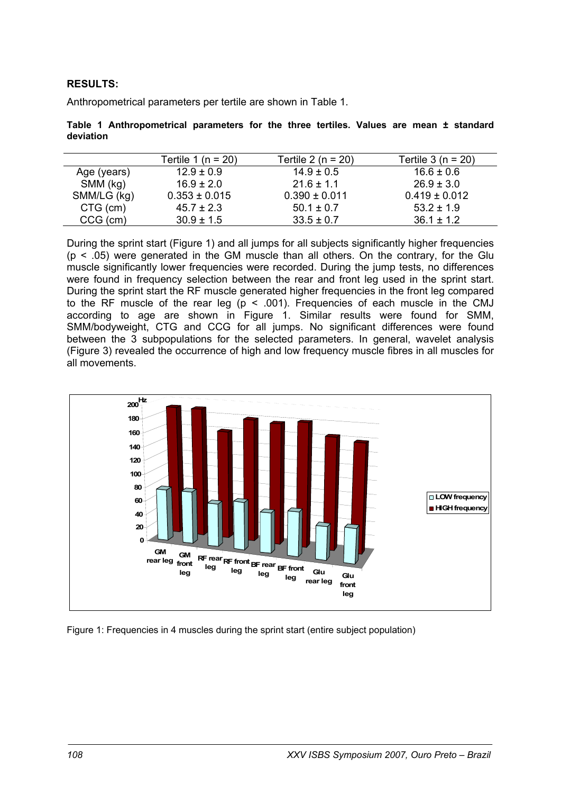# **RESULTS:**

Anthropometrical parameters per tertile are shown in Table 1.

**Table 1 Anthropometrical parameters for the three tertiles. Values are mean ± standard deviation** 

|             | Tertile 1 (n = 20) | Tertile 2 (n = $20$ ) | Tertile $3(n = 20)$ |
|-------------|--------------------|-----------------------|---------------------|
| Age (years) | $12.9 \pm 0.9$     | $14.9 \pm 0.5$        | $16.6 \pm 0.6$      |
| SMM (kg)    | $16.9 \pm 2.0$     | $21.6 \pm 1.1$        | $26.9 \pm 3.0$      |
| SMM/LG (kg) | $0.353 \pm 0.015$  | $0.390 \pm 0.011$     | $0.419 \pm 0.012$   |
| CTG (cm)    | $45.7 \pm 2.3$     | $50.1 \pm 0.7$        | $53.2 \pm 1.9$      |
| CCG (cm)    | $30.9 \pm 1.5$     | $33.5 \pm 0.7$        | $36.1 \pm 1.2$      |

During the sprint start (Figure 1) and all jumps for all subjects significantly higher frequencies  $(p < .05)$  were generated in the GM muscle than all others. On the contrary, for the Glu muscle significantly lower frequencies were recorded. During the jump tests, no differences were found in frequency selection between the rear and front leg used in the sprint start. During the sprint start the RF muscle generated higher frequencies in the front leg compared to the RF muscle of the rear leg ( $p < .001$ ). Frequencies of each muscle in the CMJ according to age are shown in Figure 1. Similar results were found for SMM, SMM/bodyweight, CTG and CCG for all jumps. No significant differences were found between the 3 subpopulations for the selected parameters. In general, wavelet analysis (Figure 3) revealed the occurrence of high and low frequency muscle fibres in all muscles for all movements.



Figure 1: Frequencies in 4 muscles during the sprint start (entire subject population)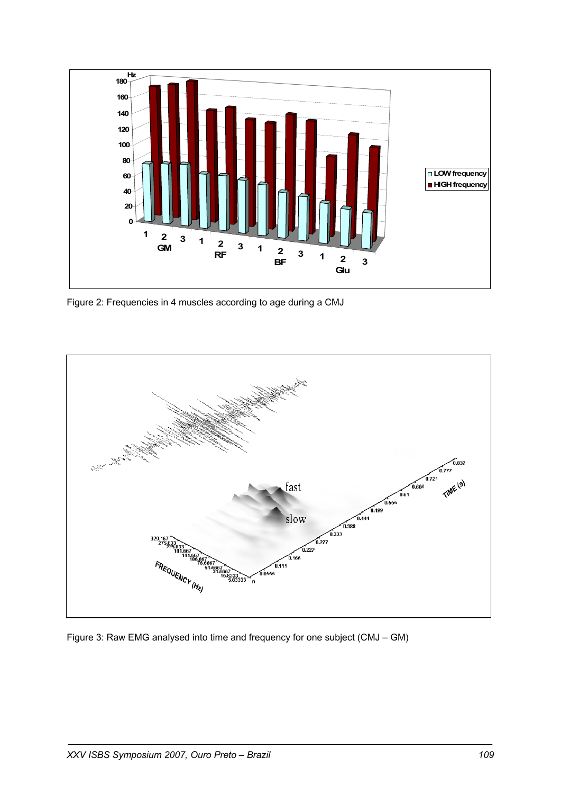

Figure 2: Frequencies in 4 muscles according to age during a CMJ



Figure 3: Raw EMG analysed into time and frequency for one subject (CMJ – GM)